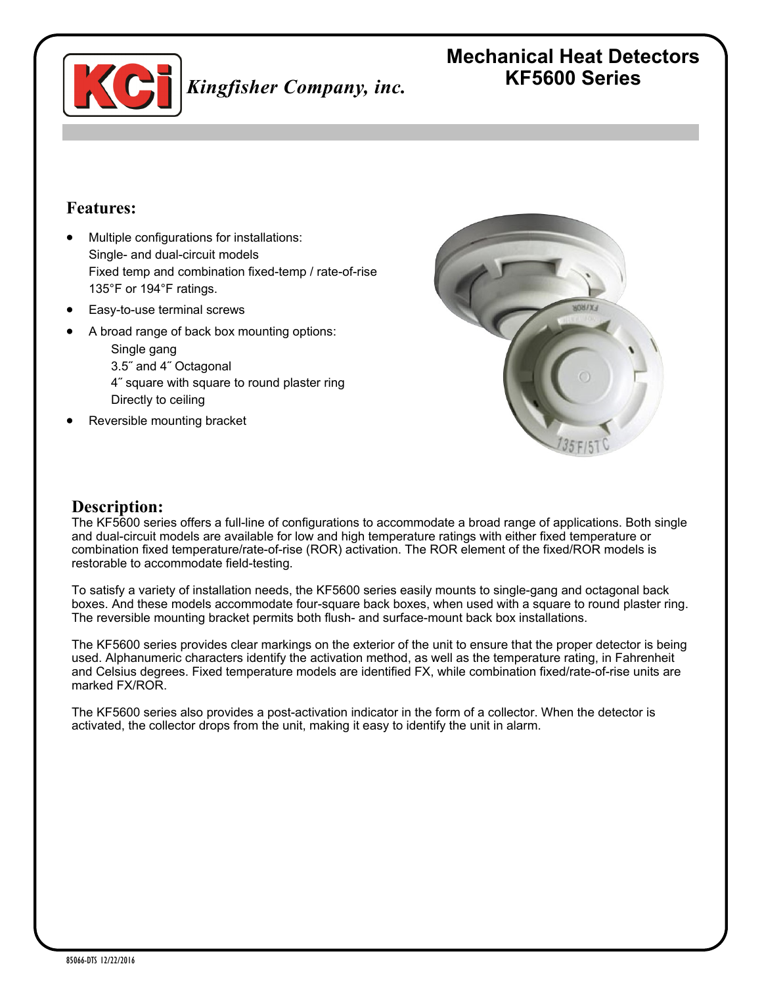

## **Features:**

- Multiple configurations for installations: Single- and dual-circuit models Fixed temp and combination fixed-temp / rate-of-rise 135°F or 194°F ratings.
- Easy-to-use terminal screws
- A broad range of back box mounting options:

Single gang 3.5˝ and 4˝ Octagonal 4˝ square with square to round plaster ring Directly to ceiling

Reversible mounting bracket



## **Description:**

The KF5600 series offers a full-line of configurations to accommodate a broad range of applications. Both single and dual-circuit models are available for low and high temperature ratings with either fixed temperature or combination fixed temperature/rate-of-rise (ROR) activation. The ROR element of the fixed/ROR models is restorable to accommodate field-testing.

To satisfy a variety of installation needs, the KF5600 series easily mounts to single-gang and octagonal back boxes. And these models accommodate four-square back boxes, when used with a square to round plaster ring. The reversible mounting bracket permits both flush- and surface-mount back box installations.

The KF5600 series provides clear markings on the exterior of the unit to ensure that the proper detector is being used. Alphanumeric characters identify the activation method, as well as the temperature rating, in Fahrenheit and Celsius degrees. Fixed temperature models are identified FX, while combination fixed/rate-of-rise units are marked FX/ROR.

The KF5600 series also provides a post-activation indicator in the form of a collector. When the detector is activated, the collector drops from the unit, making it easy to identify the unit in alarm.